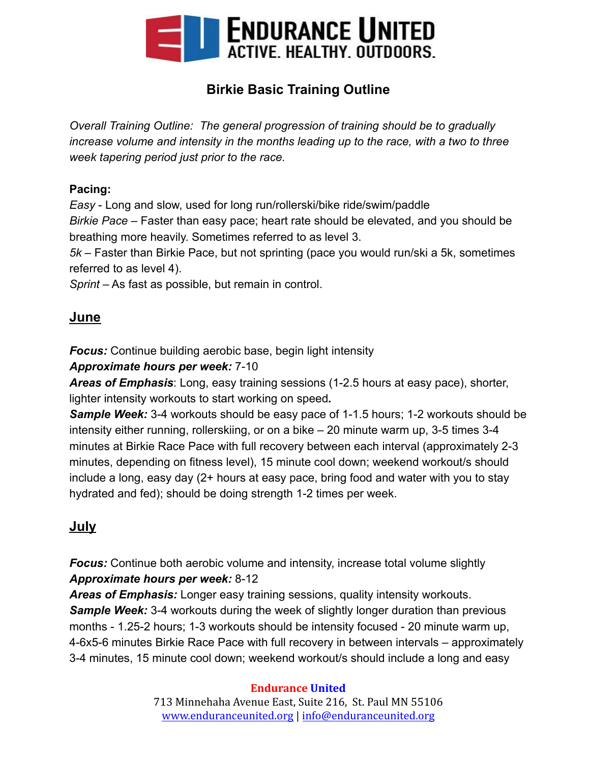

# **Birkie Basic Training Outline**

*Overall Training Outline: The general progression of training should be to gradually increase volume and intensity in the months leading up to the race, with a two to three week tapering period just prior to the race.*

#### **Pacing:**

*Easy* - Long and slow, used for long run/rollerski/bike ride/swim/paddle

*Birkie Pace* – Faster than easy pace; heart rate should be elevated, and you should be breathing more heavily. Sometimes referred to as level 3.

*5k* – Faster than Birkie Pace, but not sprinting (pace you would run/ski a 5k, sometimes referred to as level 4).

*Sprint* – As fast as possible, but remain in control.

## **June**

*Focus:* Continue building aerobic base, begin light intensity

#### *Approximate hours per week:* 7-10

*Areas of Emphasis*: Long, easy training sessions (1-2.5 hours at easy pace), shorter, lighter intensity workouts to start working on speed*.*

*Sample Week:* 3-4 workouts should be easy pace of 1-1.5 hours; 1-2 workouts should be intensity either running, rollerskiing, or on a bike – 20 minute warm up, 3-5 times 3-4 minutes at Birkie Race Pace with full recovery between each interval (approximately 2-3 minutes, depending on fitness level), 15 minute cool down; weekend workout/s should include a long, easy day (2+ hours at easy pace, bring food and water with you to stay hydrated and fed); should be doing strength 1-2 times per week.

# **July**

*Focus:* Continue both aerobic volume and intensity, increase total volume slightly *Approximate hours per week:* 8-12

*Areas of Emphasis:* Longer easy training sessions, quality intensity workouts. **Sample Week:** 3-4 workouts during the week of slightly longer duration than previous months - 1.25-2 hours; 1-3 workouts should be intensity focused - 20 minute warm up, 4-6x5-6 minutes Birkie Race Pace with full recovery in between intervals – approximately 3-4 minutes, 15 minute cool down; weekend workout/s should include a long and easy

#### **Endurance United**

713 Minnehaha Avenue East, Suite 216, St. Paul MN 55106 [www.enduranceunited.org](http://www.enduranceunited.org) | [info@enduranceunited.org](mailto:info@enduranceunited.org)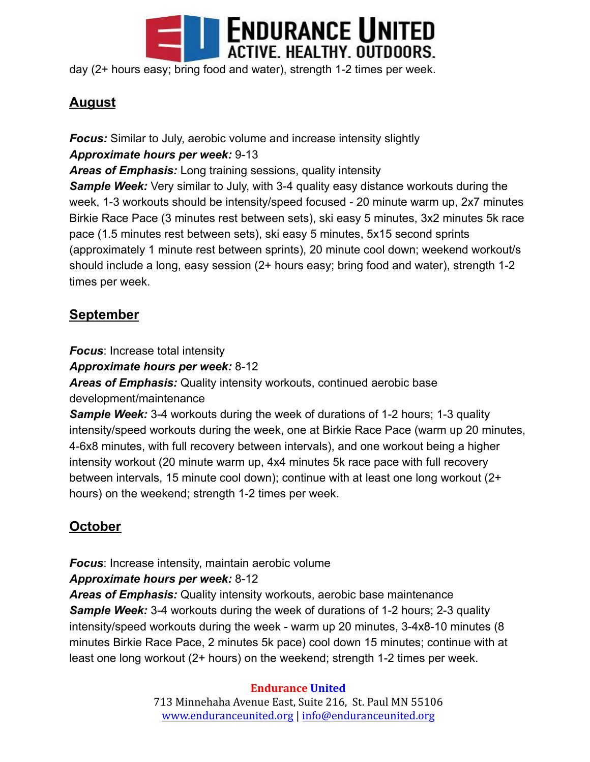

day (2+ hours easy; bring food and water), strength 1-2 times per week.

# **August**

*Focus:* Similar to July, aerobic volume and increase intensity slightly *Approximate hours per week:* 9-13

*Areas of Emphasis:* Long training sessions, quality intensity

**Sample Week:** Very similar to July, with 3-4 quality easy distance workouts during the week, 1-3 workouts should be intensity/speed focused - 20 minute warm up, 2x7 minutes Birkie Race Pace (3 minutes rest between sets), ski easy 5 minutes, 3x2 minutes 5k race pace (1.5 minutes rest between sets), ski easy 5 minutes, 5x15 second sprints (approximately 1 minute rest between sprints), 20 minute cool down; weekend workout/s should include a long, easy session (2+ hours easy; bring food and water), strength 1-2 times per week.

## **September**

*Focus*: Increase total intensity

*Approximate hours per week:* 8-12

*Areas of Emphasis:* Quality intensity workouts, continued aerobic base development/maintenance

**Sample Week:** 3-4 workouts during the week of durations of 1-2 hours; 1-3 quality intensity/speed workouts during the week, one at Birkie Race Pace (warm up 20 minutes, 4-6x8 minutes, with full recovery between intervals), and one workout being a higher intensity workout (20 minute warm up, 4x4 minutes 5k race pace with full recovery between intervals, 15 minute cool down); continue with at least one long workout (2+ hours) on the weekend; strength 1-2 times per week.

# **October**

*Focus*: Increase intensity, maintain aerobic volume

### *Approximate hours per week:* 8-12

*Areas of Emphasis:* Quality intensity workouts, aerobic base maintenance **Sample Week:** 3-4 workouts during the week of durations of 1-2 hours; 2-3 quality intensity/speed workouts during the week - warm up 20 minutes, 3-4x8-10 minutes (8 minutes Birkie Race Pace, 2 minutes 5k pace) cool down 15 minutes; continue with at least one long workout (2+ hours) on the weekend; strength 1-2 times per week.

#### **Endurance United**

713 Minnehaha Avenue East, Suite 216, St. Paul MN 55106 [www.enduranceunited.org](http://www.enduranceunited.org) | [info@enduranceunited.org](mailto:info@enduranceunited.org)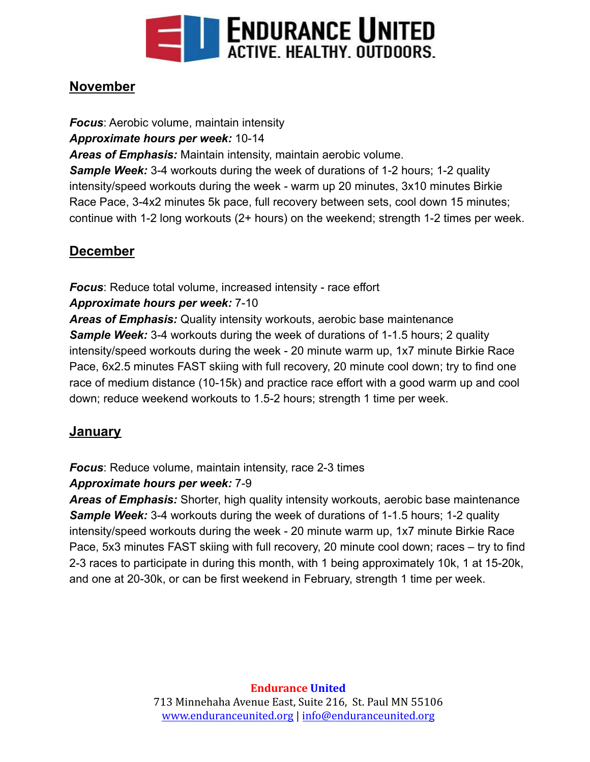

## **November**

*Focus*: Aerobic volume, maintain intensity *Approximate hours per week:* 10-14 *Areas of Emphasis:* Maintain intensity, maintain aerobic volume. **Sample Week:** 3-4 workouts during the week of durations of 1-2 hours; 1-2 quality intensity/speed workouts during the week - warm up 20 minutes, 3x10 minutes Birkie Race Pace, 3-4x2 minutes 5k pace, full recovery between sets, cool down 15 minutes; continue with 1-2 long workouts (2+ hours) on the weekend; strength 1-2 times per week.

## **December**

*Focus*: Reduce total volume, increased intensity - race effort

### *Approximate hours per week:* 7-10

*Areas of Emphasis:* Quality intensity workouts, aerobic base maintenance **Sample Week:** 3-4 workouts during the week of durations of 1-1.5 hours; 2 quality intensity/speed workouts during the week - 20 minute warm up, 1x7 minute Birkie Race Pace, 6x2.5 minutes FAST skiing with full recovery, 20 minute cool down; try to find one race of medium distance (10-15k) and practice race effort with a good warm up and cool down; reduce weekend workouts to 1.5-2 hours; strength 1 time per week.

### **January**

*Focus*: Reduce volume, maintain intensity, race 2-3 times

### *Approximate hours per week:* 7-9

*Areas of Emphasis:* Shorter, high quality intensity workouts, aerobic base maintenance *Sample Week:* 3-4 workouts during the week of durations of 1-1.5 hours; 1-2 quality intensity/speed workouts during the week - 20 minute warm up, 1x7 minute Birkie Race Pace, 5x3 minutes FAST skiing with full recovery, 20 minute cool down; races – try to find 2-3 races to participate in during this month, with 1 being approximately 10k, 1 at 15-20k, and one at 20-30k, or can be first weekend in February, strength 1 time per week.